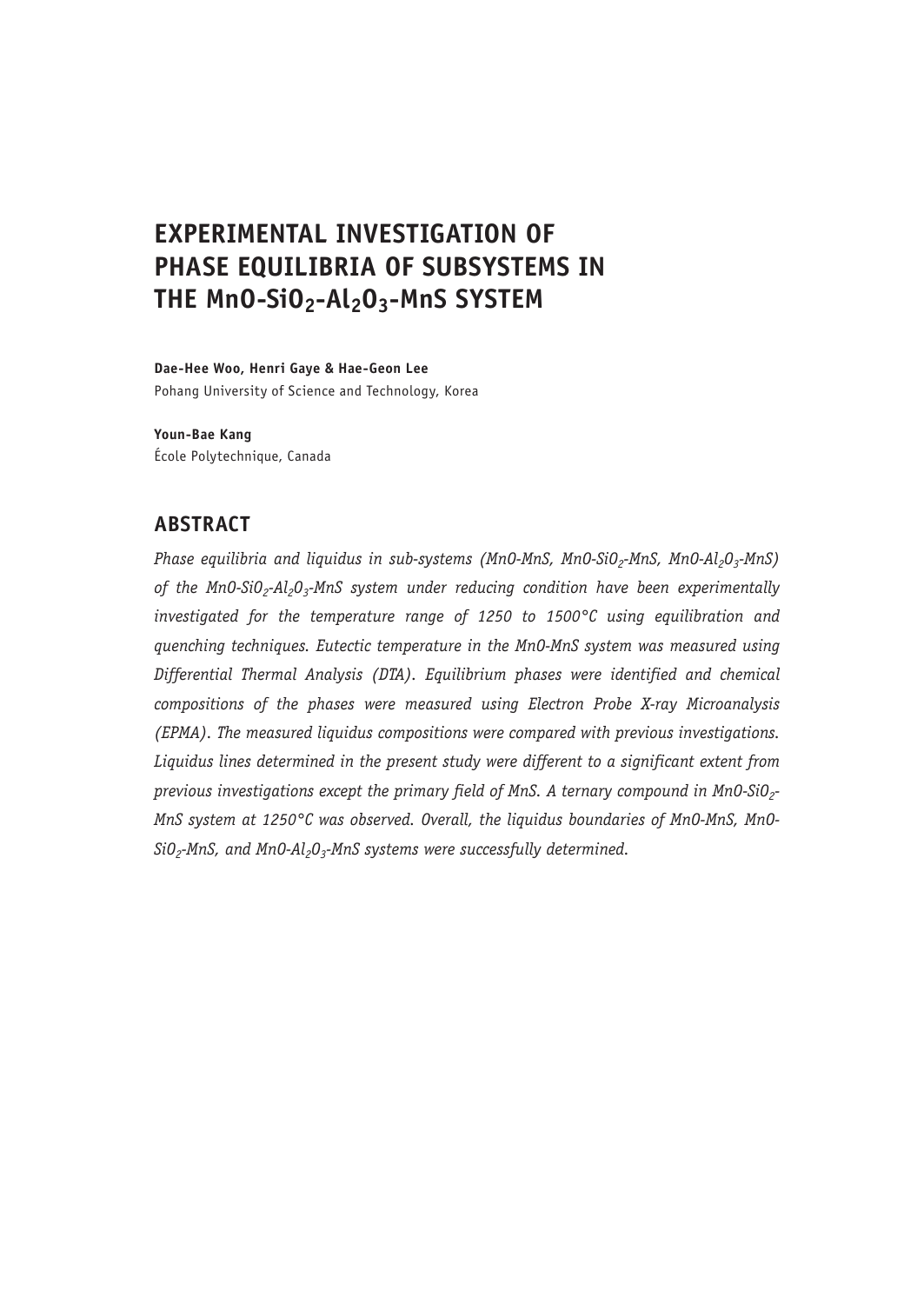# **EXPERIMENTAL INVESTIGATION OF PHASE EQUILIBRIA OF SUBSYSTEMS IN THE MnO-SiO2-Al2O3-MnS SYSTEM**

**Dae-Hee Woo, Henri Gaye & Hae-Geon Lee**

Pohang University of Science and Technology, Korea

**Youn-Bae Kang** École Polytechnique, Canada

## **ABSTRACT**

*Phase equilibria and liquidus in sub-systems (MnO-MnS, MnO-SiO<sub>2</sub>-MnS, MnO-Al<sub>2</sub>O<sub>3</sub>-MnS)* of the Mn0-SiO<sub>2</sub>-Al<sub>2</sub>O<sub>2</sub>-MnS system under reducing condition have been experimentally *investigated for the temperature range of 1250 to 1500°C using equilibration and quenching techniques. Eutectic temperature in the MnO-MnS system was measured using Differential Thermal Analysis (DTA). Equilibrium phases were identified and chemical compositions of the phases were measured using Electron Probe X-ray Microanalysis (EPMA). The measured liquidus compositions were compared with previous investigations. Liquidus lines determined in the present study were different to a significant extent from*  previous investigations except the primary field of MnS. A ternary compound in Mn0-SiO<sub>2</sub>-*MnS system at 1250°C was observed. Overall, the liquidus boundaries of MnO-MnS, MnO-*SiO<sub>2</sub>-MnS, and MnO-Al<sub>2</sub>O<sub>3</sub>-MnS systems were successfully determined.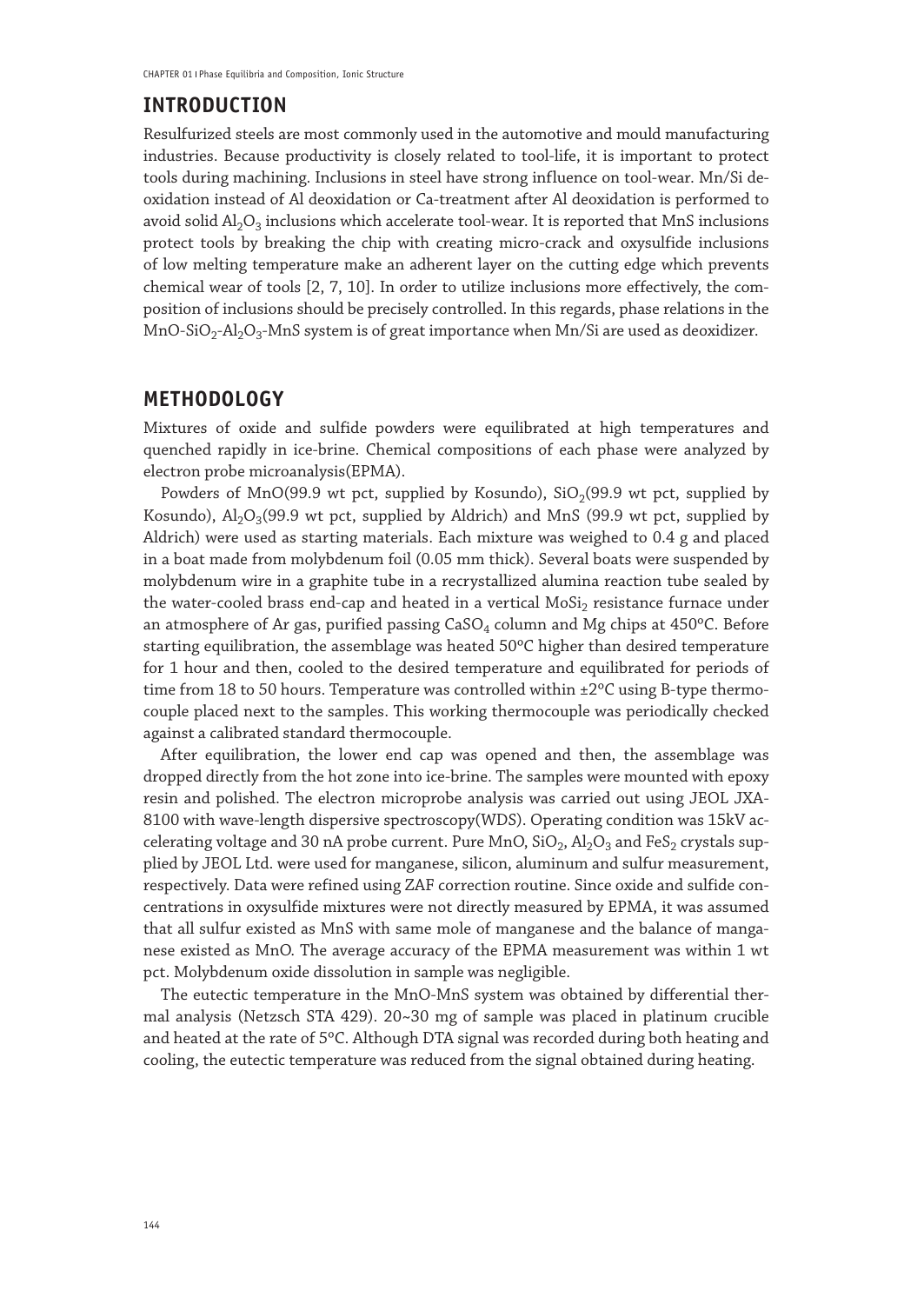### **INTRODUCTION**

Resulfurized steels are most commonly used in the automotive and mould manufacturing industries. Because productivity is closely related to tool-life, it is important to protect tools during machining. Inclusions in steel have strong influence on tool-wear. Mn/Si deoxidation instead of Al deoxidation or Ca-treatment after Al deoxidation is performed to avoid solid  $\text{Al}_2\text{O}_3$  inclusions which accelerate tool-wear. It is reported that MnS inclusions protect tools by breaking the chip with creating micro-crack and oxysulfide inclusions of low melting temperature make an adherent layer on the cutting edge which prevents chemical wear of tools [2, 7, 10]. In order to utilize inclusions more effectively, the composition of inclusions should be precisely controlled. In this regards, phase relations in the MnO-SiO<sub>2</sub>-Al<sub>2</sub>O<sub>3</sub>-MnS system is of great importance when Mn/Si are used as deoxidizer.

### **METHODOLOGY**

Mixtures of oxide and sulfide powders were equilibrated at high temperatures and quenched rapidly in ice-brine. Chemical compositions of each phase were analyzed by electron probe microanalysis(EPMA).

Powders of  $MnO(99.9$  wt pct, supplied by Kosundo),  $SiO<sub>2</sub>(99.9$  wt pct, supplied by Kosundo),  $\text{Al}_2\text{O}_3(99.9 \text{ wt} \text{ pt}$ , supplied by Aldrich) and MnS (99.9 wt pct, supplied by Aldrich) were used as starting materials. Each mixture was weighed to 0.4 g and placed in a boat made from molybdenum foil (0.05 mm thick). Several boats were suspended by molybdenum wire in a graphite tube in a recrystallized alumina reaction tube sealed by the water-cooled brass end-cap and heated in a vertical MoSi<sub>2</sub> resistance furnace under an atmosphere of Ar gas, purified passing  $CaSO<sub>4</sub>$  column and Mg chips at  $450^{\circ}$ C. Before starting equilibration, the assemblage was heated 50ºC higher than desired temperature for 1 hour and then, cooled to the desired temperature and equilibrated for periods of time from 18 to 50 hours. Temperature was controlled within ±2°C using B-type thermocouple placed next to the samples. This working thermocouple was periodically checked against a calibrated standard thermocouple.

After equilibration, the lower end cap was opened and then, the assemblage was dropped directly from the hot zone into ice-brine. The samples were mounted with epoxy resin and polished. The electron microprobe analysis was carried out using JEOL JXA-8100 with wave-length dispersive spectroscopy(WDS). Operating condition was 15kV accelerating voltage and 30 nA probe current. Pure MnO,  $SiO<sub>2</sub>$ ,  $Al<sub>2</sub>O<sub>3</sub>$  and FeS<sub>2</sub> crystals supplied by JEOL Ltd. were used for manganese, silicon, aluminum and sulfur measurement, respectively. Data were refined using ZAF correction routine. Since oxide and sulfide concentrations in oxysulfide mixtures were not directly measured by EPMA, it was assumed that all sulfur existed as MnS with same mole of manganese and the balance of manganese existed as MnO. The average accuracy of the EPMA measurement was within 1 wt pct. Molybdenum oxide dissolution in sample was negligible.

The eutectic temperature in the MnO-MnS system was obtained by differential thermal analysis (Netzsch STA 429). 20~30 mg of sample was placed in platinum crucible and heated at the rate of 5ºC. Although DTA signal was recorded during both heating and cooling, the eutectic temperature was reduced from the signal obtained during heating.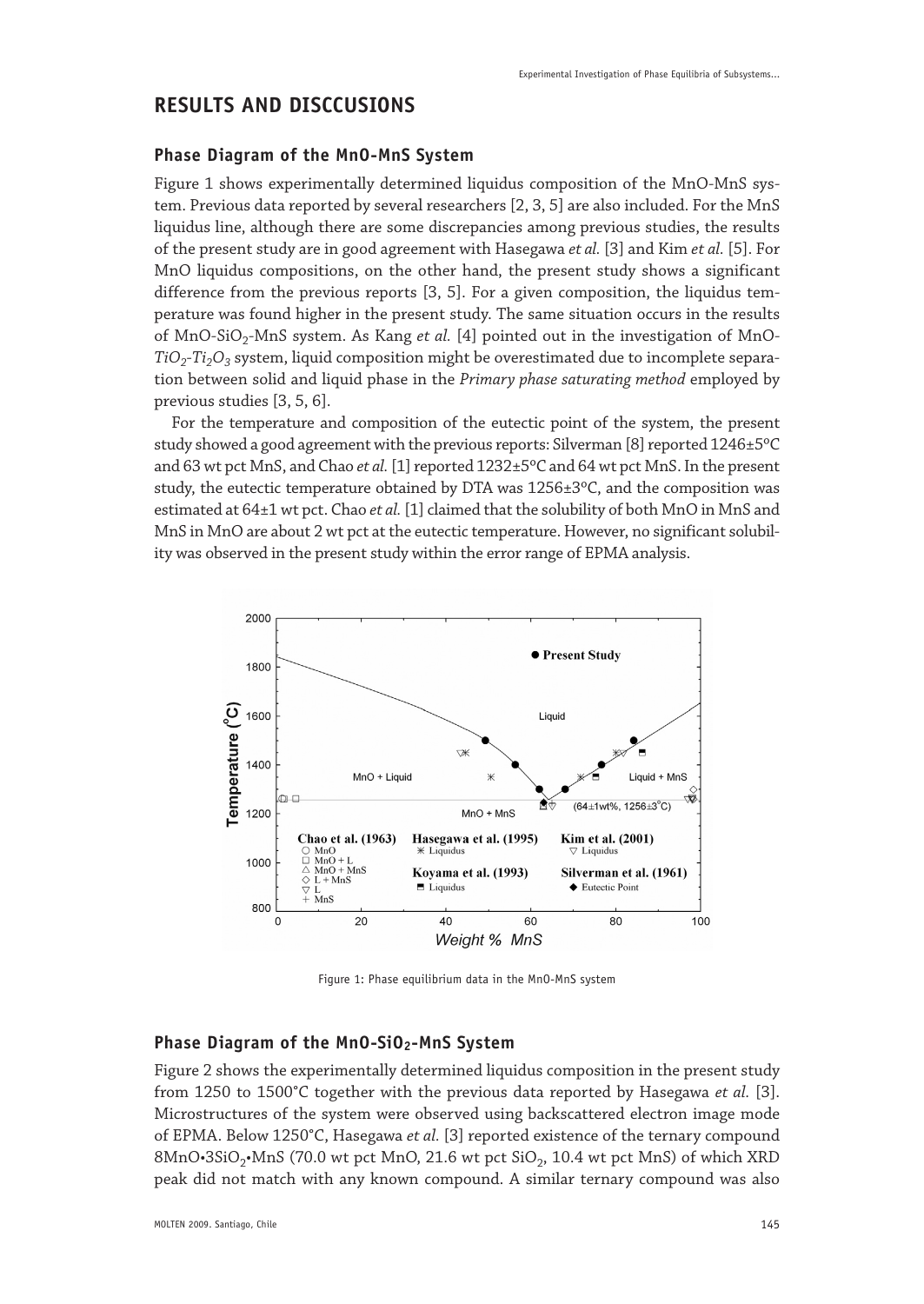## **RESULTS AND DISCCUSIONS**

#### **Phase Diagram of the MnO-MnS System**

Figure 1 shows experimentally determined liquidus composition of the MnO-MnS system. Previous data reported by several researchers [2, 3, 5] are also included. For the MnS liquidus line, although there are some discrepancies among previous studies, the results of the present study are in good agreement with Hasegawa *et al.* [3] and Kim *et al.* [5]. For MnO liquidus compositions, on the other hand, the present study shows a significant difference from the previous reports [3, 5]. For a given composition, the liquidus temperature was found higher in the present study. The same situation occurs in the results of MnO-SiO<sub>2</sub>-MnS system. As Kang *et al.* [4] pointed out in the investigation of MnO- $TiO<sub>2</sub>$ -*Ti<sub>2</sub>O<sub>3</sub>* system, liquid composition might be overestimated due to incomplete separation between solid and liquid phase in the *Primary phase saturating method* employed by previous studies [3, 5, 6].

For the temperature and composition of the eutectic point of the system, the present study showed a good agreement with the previous reports: Silverman [8] reported 1246±5ºC and 63 wt pct MnS, and Chao *et al.* [1] reported 1232±5ºC and 64 wt pct MnS. In the present study, the eutectic temperature obtained by DTA was 1256±3ºC, and the composition was estimated at 64±1 wt pct. Chao *et al.* [1] claimed that the solubility of both MnO in MnS and MnS in MnO are about 2 wt pct at the eutectic temperature. However, no significant solubility was observed in the present study within the error range of EPMA analysis.



Figure 1: Phase equilibrium data in the MnO-MnS system

#### **Phase Diagram of the MnO-SiO2-MnS System**

Figure 2 shows the experimentally determined liquidus composition in the present study from 1250 to 1500°C together with the previous data reported by Hasegawa *et al.* [3]. Microstructures of the system were observed using backscattered electron image mode of EPMA. Below 1250°C, Hasegawa *et al.* [3] reported existence of the ternary compound  $8MnO·3SiO<sub>2</sub>·MnS$  (70.0 wt pct MnO, 21.6 wt pct  $SiO<sub>2</sub>$ , 10.4 wt pct MnS) of which XRD peak did not match with any known compound. A similar ternary compound was also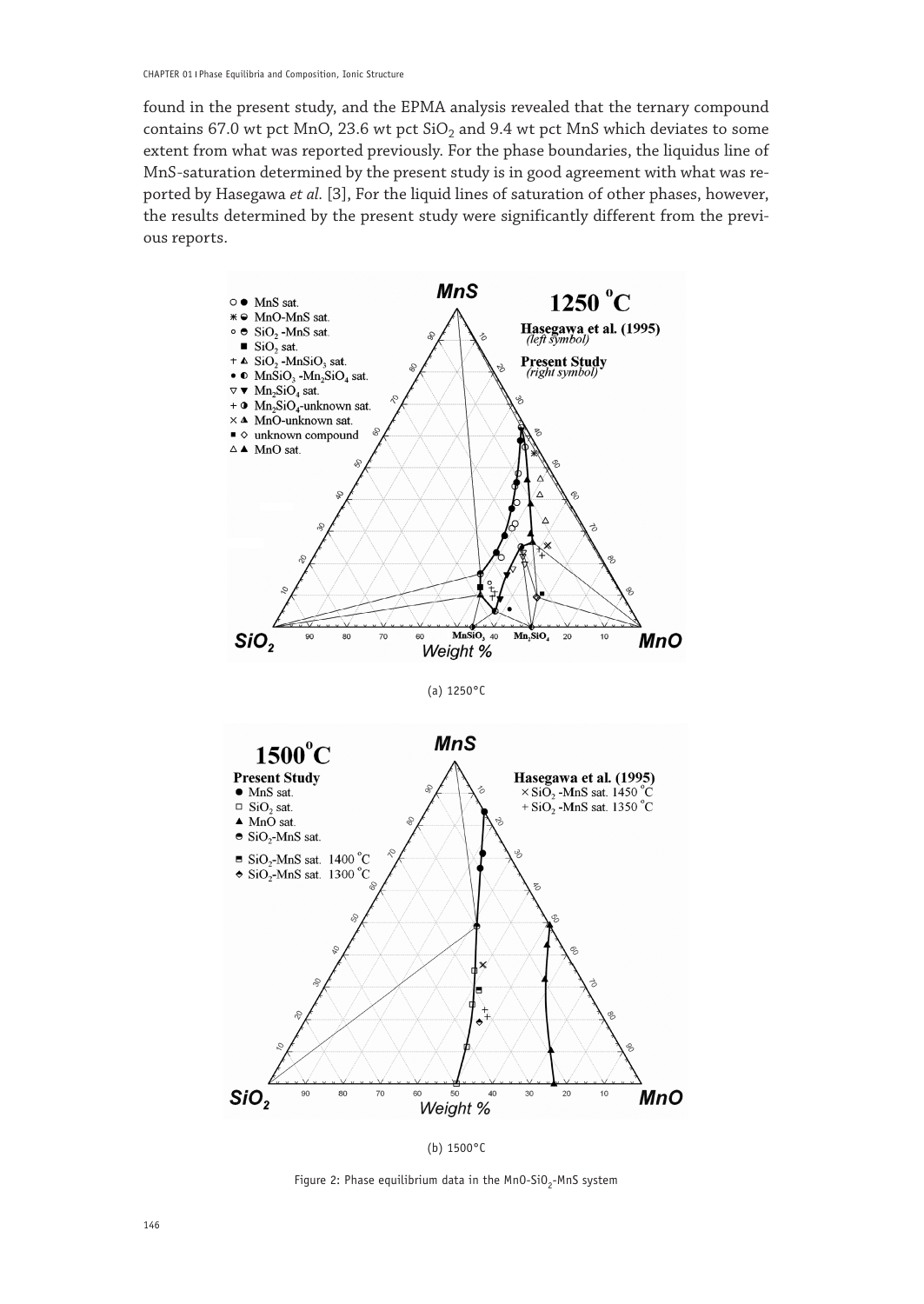found in the present study, and the EPMA analysis revealed that the ternary compound contains 67.0 wt pct MnO, 23.6 wt pct  $SiO<sub>2</sub>$  and 9.4 wt pct MnS which deviates to some extent from what was reported previously. For the phase boundaries, the liquidus line of MnS-saturation determined by the present study is in good agreement with what was reported by Hasegawa *et al.* [3], For the liquid lines of saturation of other phases, however, the results determined by the present study were significantly different from the previous reports.



(a) 1250°C





Figure 2: Phase equilibrium data in the  $MnO-SiO<sub>2</sub>-MnS$  system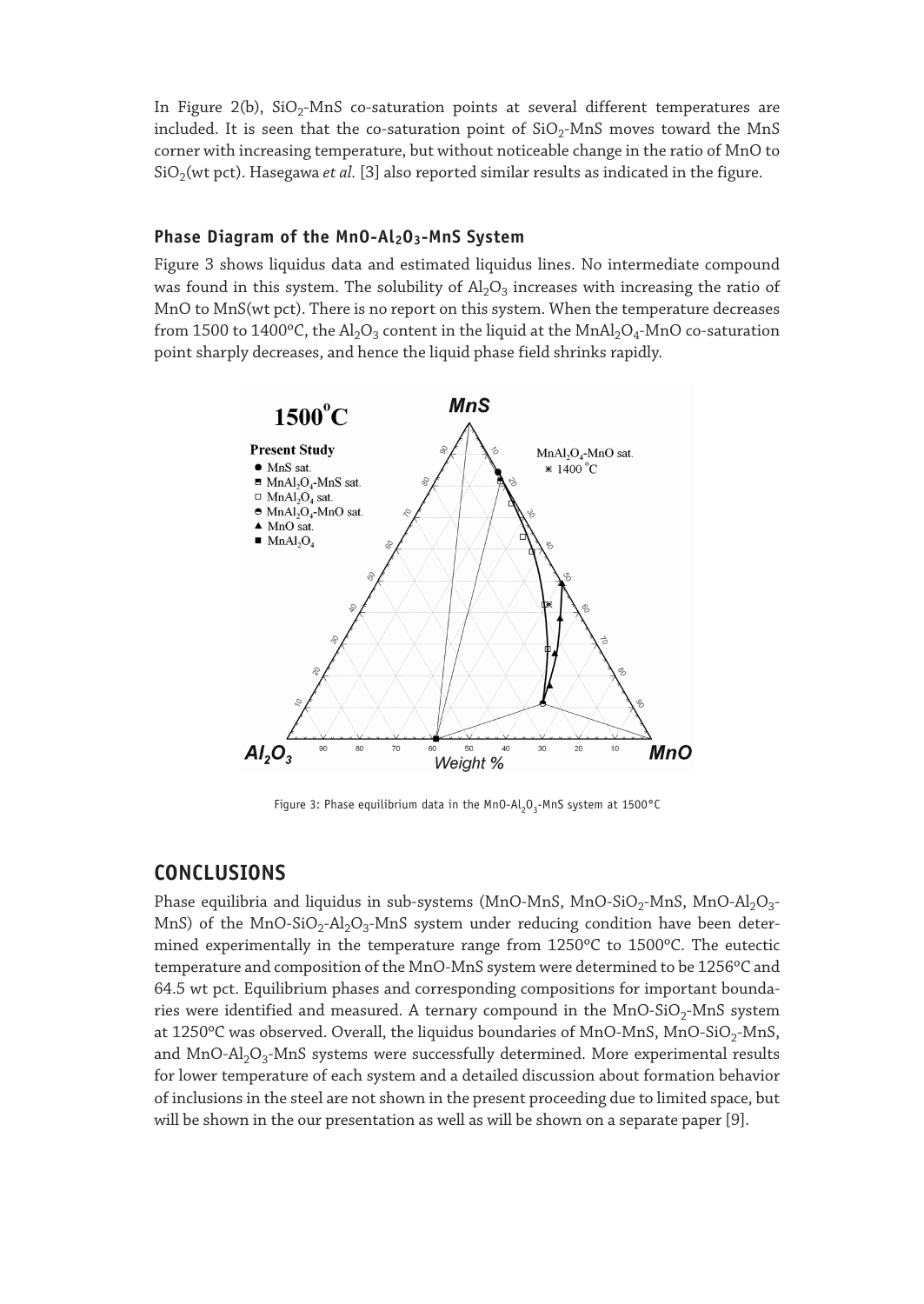In Figure 2(b),  $SiO<sub>2</sub>$ -MnS co-saturation points at several different temperatures are included. It is seen that the co-saturation point of  $SiO<sub>2</sub>$ -MnS moves toward the MnS corner with increasing temperature, but without noticeable change in the ratio of MnO to  $SiO<sub>2</sub>(wt pct)$ . Hasegawa *et al.* [3] also reported similar results as indicated in the figure.

#### Phase Diagram of the MnO-Al<sub>2</sub>O<sub>3</sub>-MnS System

Figure 3 shows liquidus data and estimated liquidus lines. No intermediate compound was found in this system. The solubility of  $A I_2 O_3$  increases with increasing the ratio of MnO to MnS(wt pct). There is no report on this system. When the temperature decreases from 1500 to 1400°C, the Al<sub>2</sub>O<sub>3</sub> content in the liquid at the MnAl<sub>2</sub>O<sub>4</sub>-MnO co-saturation point sharply decreases, and hence the liquid phase field shrinks rapidly.



Figure 3: Phase equilibrium data in the MnO-Al<sub>2</sub>O<sub>3</sub>-MnS system at 1500°C

### **CONCLUSIONS**

Phase equilibria and liquidus in sub-systems (MnO-MnS, MnO-SiO<sub>2</sub>-MnS, MnO-Al<sub>2</sub>O<sub>3</sub>-MnS) of the MnO-SiO<sub>2</sub>-Al<sub>2</sub>O<sub>3</sub>-MnS system under reducing condition have been determined experimentally in the temperature range from 1250ºC to 1500ºC. The eutectic temperature and composition of the MnO-MnS system were determined to be 1256ºC and 64.5 wt pct. Equilibrium phases and corresponding compositions for important boundaries were identified and measured. A ternary compound in the MnO-SiO<sub>2</sub>-MnS system at 1250°C was observed. Overall, the liquidus boundaries of MnO-MnS, MnO-SiO<sub>2</sub>-MnS, and  $MnO-Al<sub>2</sub>O<sub>3</sub>-MnS$  systems were successfully determined. More experimental results for lower temperature of each system and a detailed discussion about formation behavior of inclusions in the steel are not shown in the present proceeding due to limited space, but will be shown in the our presentation as well as will be shown on a separate paper [9].